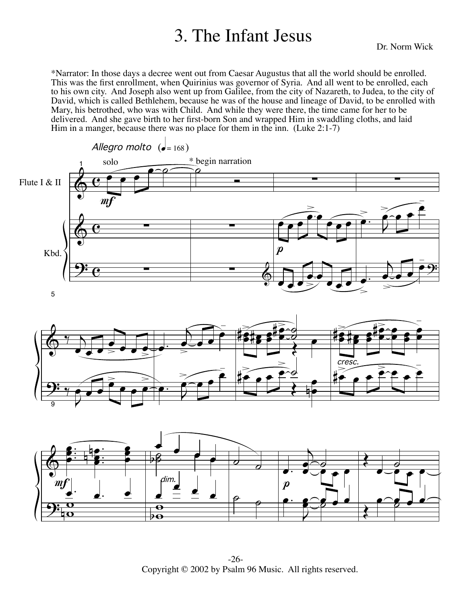## 3. The Infant Jesus

\*Narrator: In those days a decree went out from Caesar Augustus that all the world should be enrolled. This was the first enrollment, when Quirinius was governor of Syria. And all went to be enrolled, each to his own city. And Joseph also went up from Galilee, from the city of Nazareth, to Judea, to the city of David, which is called Bethlehem, because he was of the house and lineage of David, to be enrolled with Mary, his betrothed, who was with Child. And while they were there, the time came for her to be delivered. And she gave birth to her first-born Son and wrapped Him in swaddling cloths, and laid Him in a manger, because there was no place for them in the inn. (Luke 2:1-7)



<sup>-26-</sup> Copyright © 2002 by Psalm 96 Music. All rights reserved.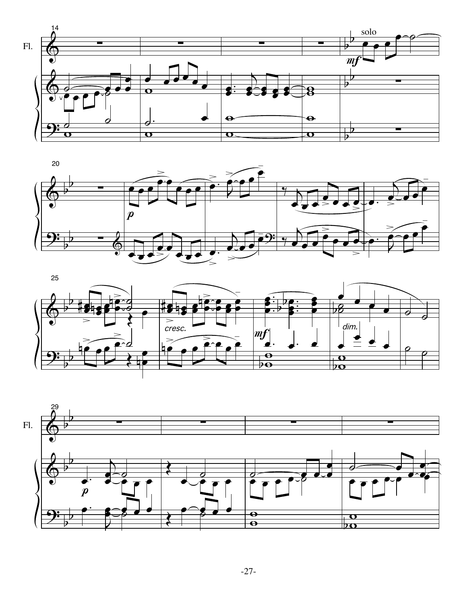





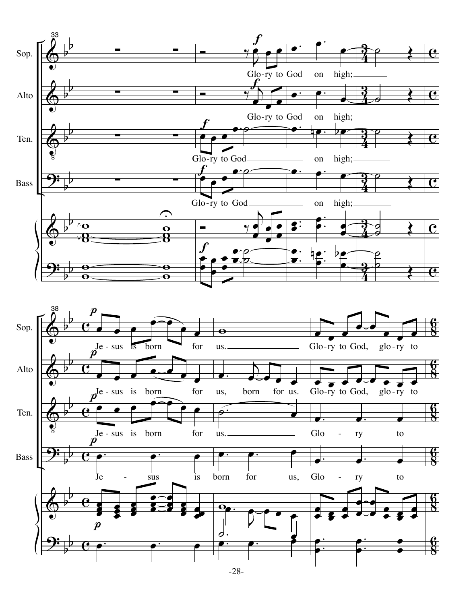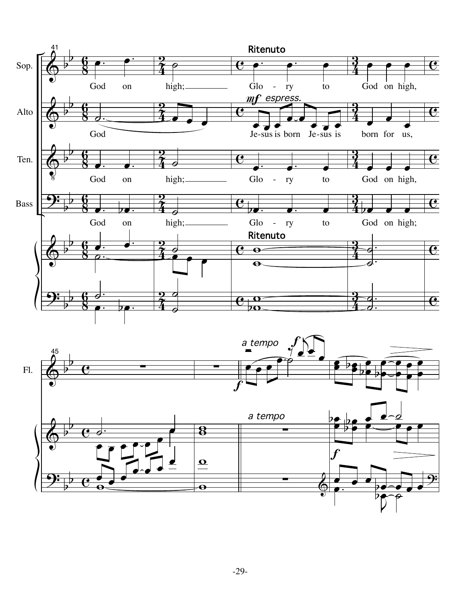![](_page_3_Figure_0.jpeg)

![](_page_3_Figure_1.jpeg)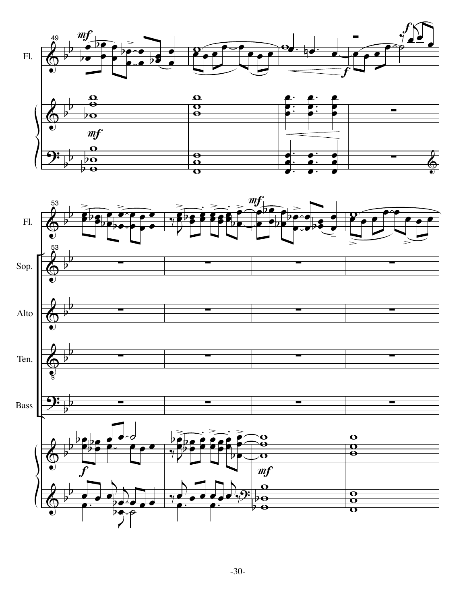![](_page_4_Figure_0.jpeg)

![](_page_4_Figure_1.jpeg)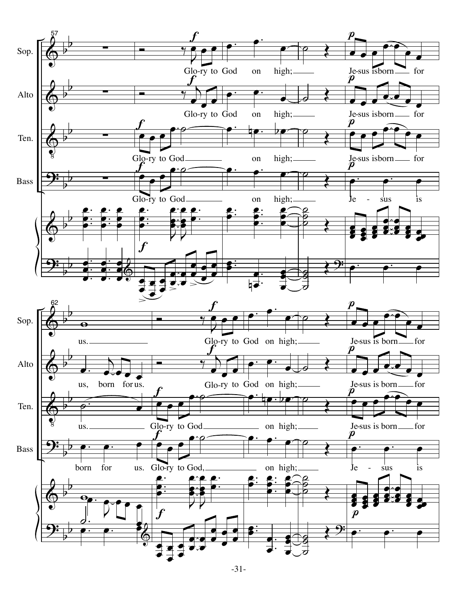![](_page_5_Figure_0.jpeg)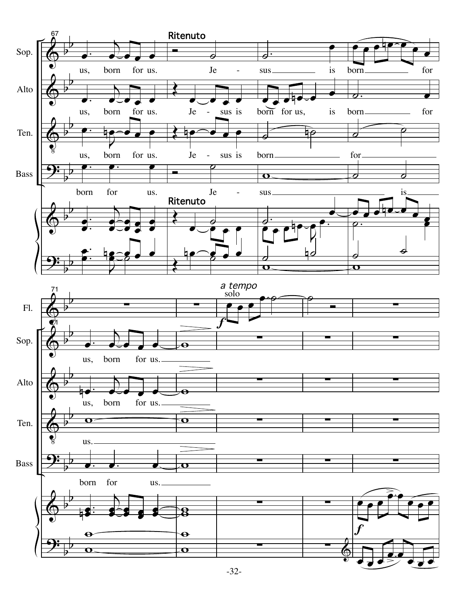![](_page_6_Figure_0.jpeg)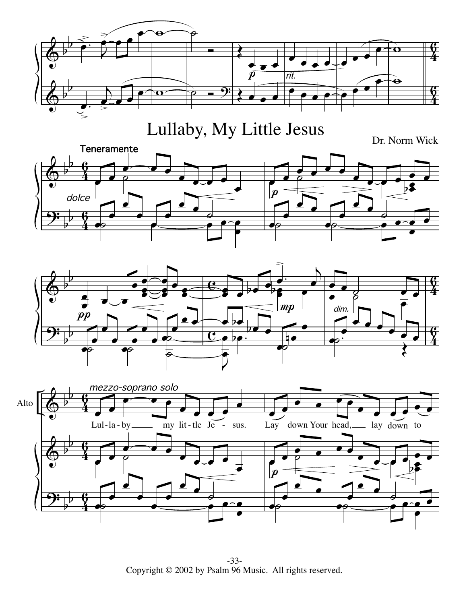![](_page_7_Figure_0.jpeg)

## Lullaby, My Little Jesus<br>Dr. Norm Wick

![](_page_7_Figure_3.jpeg)

![](_page_7_Figure_4.jpeg)

![](_page_7_Figure_5.jpeg)

-33- Copyright © 2002 by Psalm 96 Music. All rights reserved.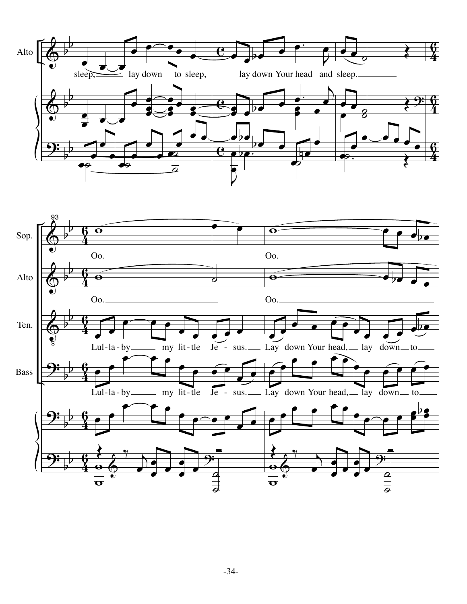![](_page_8_Figure_0.jpeg)

![](_page_8_Figure_1.jpeg)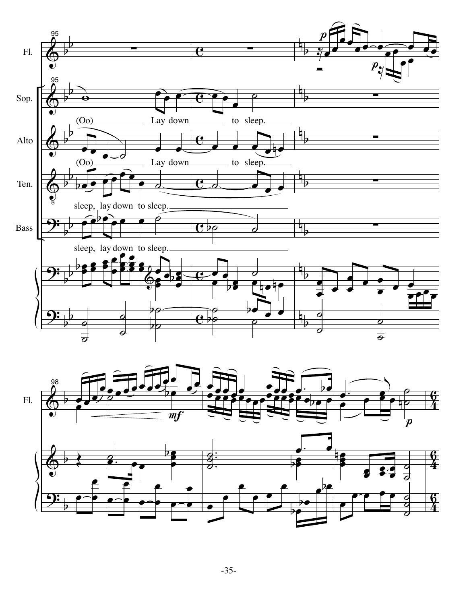![](_page_9_Figure_0.jpeg)

![](_page_9_Figure_1.jpeg)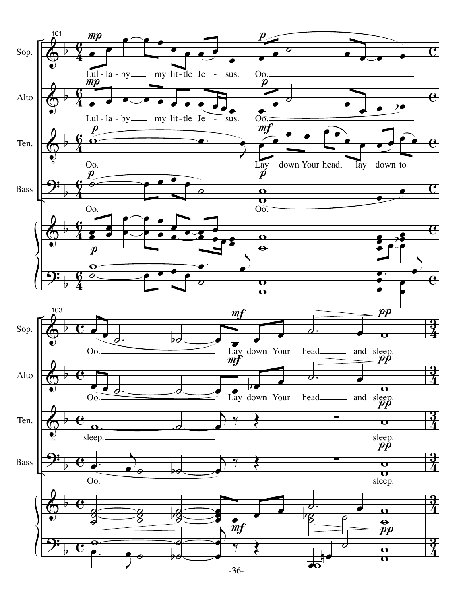![](_page_10_Figure_0.jpeg)